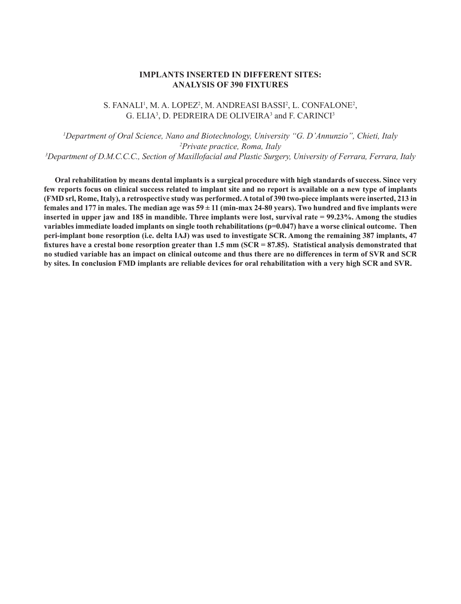#### **IMPLANTS INSERTED IN DIFFERENT SITES: ANALYSIS OF 390 FIXTURES**

# S. FANALI<sup>1</sup>, M. A. LOPEZ<sup>2</sup>, M. ANDREASI BASSI<sup>2</sup>, L. CONFALONE<sup>2</sup>, G. ELIA<sup>3</sup>, D. PEDREIRA DE OLIVEIRA<sup>3</sup> and F. CARINCI<sup>3</sup>

*1 Department of Oral Science, Nano and Biotechnology, University "G. D'Annunzio", Chieti, Italy 2 Private practice, Roma, Italy 3 Department of D.M.C.C.C., Section of Maxillofacial and Plastic Surgery, University of Ferrara, Ferrara, Italy*

**Oral rehabilitation by means dental implants is a surgical procedure with high standards of success. Since very few reports focus on clinical success related to implant site and no report is available on a new type of implants (FMD srl, Rome, Italy), a retrospective study was performed. A total of 390 two-piece implants were inserted, 213 in**  females and 177 in males. The median age was  $59 \pm 11$  (min-max 24-80 years). Two hundred and five implants were **inserted in upper jaw and 185 in mandible. Three implants were lost, survival rate = 99.23%. Among the studies variables immediate loaded implants on single tooth rehabilitations (p=0.047) have a worse clinical outcome. Then peri-implant bone resorption (i.e. delta IAJ) was used to investigate SCR. Among the remaining 387 implants, 47 fixtures have a crestal bone resorption greater than 1.5 mm (SCR = 87.85). Statistical analysis demonstrated that no studied variable has an impact on clinical outcome and thus there are no differences in term of SVR and SCR by sites. In conclusion FMD implants are reliable devices for oral rehabilitation with a very high SCR and SVR.**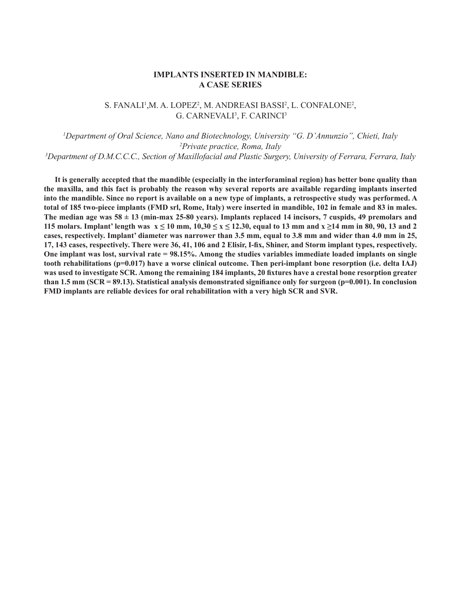#### **IMPLANTS INSERTED IN MANDIBLE: A CASE SERIES**

# S. FANALI!,M. A. LOPEZ?, M. ANDREASI BASSI?, L. CONFALONE?, G. CARNEVALI<sup>3</sup>, F. CARINCI<sup>3</sup>

*1 Department of Oral Science, Nano and Biotechnology, University "G. D'Annunzio", Chieti, Italy 2 Private practice, Roma, Italy 3 Department of D.M.C.C.C., Section of Maxillofacial and Plastic Surgery, University of Ferrara, Ferrara, Italy*

**It is generally accepted that the mandible (especially in the interforaminal region) has better bone quality than the maxilla, and this fact is probably the reason why several reports are available regarding implants inserted into the mandible. Since no report is available on a new type of implants, a retrospective study was performed. A total of 185 two-piece implants (FMD srl, Rome, Italy) were inserted in mandible, 102 in female and 83 in males. The median age was 58 ± 13 (min-max 25-80 years). Implants replaced 14 incisors, 7 cuspids, 49 premolars and 115 molars. Implant' length was**  $x \le 10$  **mm,**  $10,30 \le x \le 12.30$ **, equal to 13 mm and**  $x \ge 14$  **mm in 80, 90, 13 and 2 cases, respectively. Implant' diameter was narrower than 3.5 mm, equal to 3.8 mm and wider than 4.0 mm in 25, 17, 143 cases, respectively. There were 36, 41, 106 and 2 Elisir, I-fix, Shiner, and Storm implant types, respectively. One implant was lost, survival rate = 98.15%. Among the studies variables immediate loaded implants on single tooth rehabilitations (p=0.017) have a worse clinical outcome. Then peri-implant bone resorption (i.e. delta IAJ) was used to investigate SCR. Among the remaining 184 implants, 20 fixtures have a crestal bone resorption greater than 1.5 mm (SCR = 89.13). Statistical analysis demonstrated signifiance only for surgeon (p=0.001). In conclusion FMD implants are reliable devices for oral rehabilitation with a very high SCR and SVR.**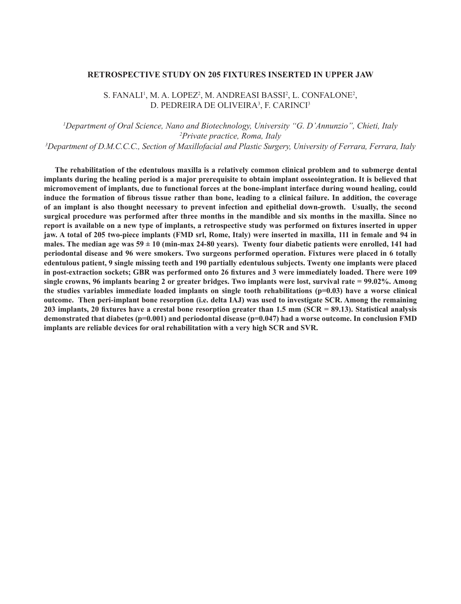#### **RETROSPECTIVE STUDY ON 205 FIXTURES INSERTED IN UPPER JAW**

S. FANALI<sup>1</sup>, M. A. LOPEZ<sup>2</sup>, M. ANDREASI BASSI<sup>2</sup>, L. CONFALONE<sup>2</sup>, D. PEDREIRA DE OLIVEIRA<sup>3</sup>, F. CARINCI<sup>3</sup>

*1 Department of Oral Science, Nano and Biotechnology, University "G. D'Annunzio", Chieti, Italy 2 Private practice, Roma, Italy 3 Department of D.M.C.C.C., Section of Maxillofacial and Plastic Surgery, University of Ferrara, Ferrara, Italy*

**The rehabilitation of the edentulous maxilla is a relatively common clinical problem and to submerge dental implants during the healing period is a major prerequisite to obtain implant osseointegration. It is believed that micromovement of implants, due to functional forces at the bone-implant interface during wound healing, could induce the formation of fibrous tissue rather than bone, leading to a clinical failure. In addition, the coverage of an implant is also thought necessary to prevent infection and epithelial down-growth. Usually, the second surgical procedure was performed after three months in the mandible and six months in the maxilla. Since no report is available on a new type of implants, a retrospective study was performed on fixtures inserted in upper jaw. A total of 205 two-piece implants (FMD srl, Rome, Italy) were inserted in maxilla, 111 in female and 94 in males. The median age was 59 ± 10 (min-max 24-80 years). Twenty four diabetic patients were enrolled, 141 had periodontal disease and 96 were smokers. Two surgeons performed operation. Fixtures were placed in 6 totally edentulous patient, 9 single missing teeth and 190 partially edentulous subjects. Twenty one implants were placed in post-extraction sockets; GBR was performed onto 26 fixtures and 3 were immediately loaded. There were 109 single crowns, 96 implants bearing 2 or greater bridges. Two implants were lost, survival rate = 99.02%. Among the studies variables immediate loaded implants on single tooth rehabilitations (p=0.03) have a worse clinical outcome. Then peri-implant bone resorption (i.e. delta IAJ) was used to investigate SCR. Among the remaining 203 implants, 20 fixtures have a crestal bone resorption greater than 1.5 mm (SCR = 89.13). Statistical analysis demonstrated that diabetes (p=0.001) and periodontal disease (p=0.047) had a worse outcome. In conclusion FMD implants are reliable devices for oral rehabilitation with a very high SCR and SVR.**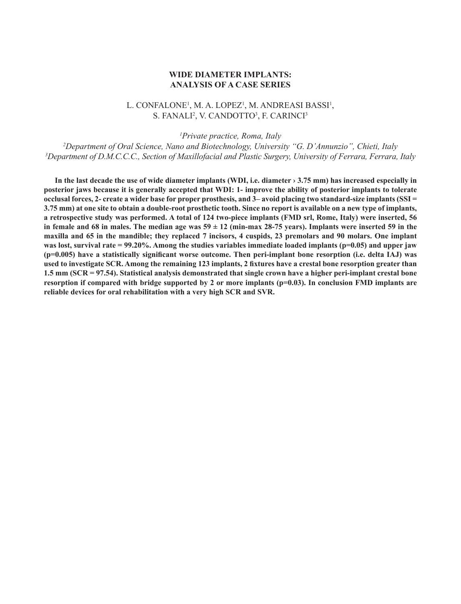#### **WIDE DIAMETER IMPLANTS: ANALYSIS OF A CASE SERIES**

# L. CONFALONE<sup>1</sup>, M. A. LOPEZ<sup>1</sup>, M. ANDREASI BASSI<sup>1</sup>, S. FANALI<sup>2</sup>, V. CANDOTTO<sup>3</sup>, F. CARINCI<sup>3</sup>

*1 Private practice, Roma, Italy*

*2 Department of Oral Science, Nano and Biotechnology, University "G. D'Annunzio", Chieti, Italy 3 Department of D.M.C.C.C., Section of Maxillofacial and Plastic Surgery, University of Ferrara, Ferrara, Italy*

**In the last decade the use of wide diameter implants (WDI, i.e. diameter › 3.75 mm) has increased especially in posterior jaws because it is generally accepted that WDI: 1- improve the ability of posterior implants to tolerate occlusal forces, 2- create a wider base for proper prosthesis, and 3– avoid placing two standard-size implants (SSI = 3.75 mm) at one site to obtain a double-root prosthetic tooth. Since no report is available on a new type of implants, a retrospective study was performed. A total of 124 two-piece implants (FMD srl, Rome, Italy) were inserted, 56**  in female and 68 in males. The median age was  $59 \pm 12$  (min-max 28-75 years). Implants were inserted 59 in the **maxilla and 65 in the mandible; they replaced 7 incisors, 4 cuspids, 23 premolars and 90 molars. One implant**  was lost, survival rate = 99.20%. Among the studies variables immediate loaded implants (p=0.05) and upper jaw **(p=0.005) have a statistically significant worse outcome. Then peri-implant bone resorption (i.e. delta IAJ) was used to investigate SCR. Among the remaining 123 implants, 2 fixtures have a crestal bone resorption greater than 1.5 mm (SCR = 97.54). Statistical analysis demonstrated that single crown have a higher peri-implant crestal bone**  resorption if compared with bridge supported by 2 or more implants (p=0.03). In conclusion FMD implants are **reliable devices for oral rehabilitation with a very high SCR and SVR.**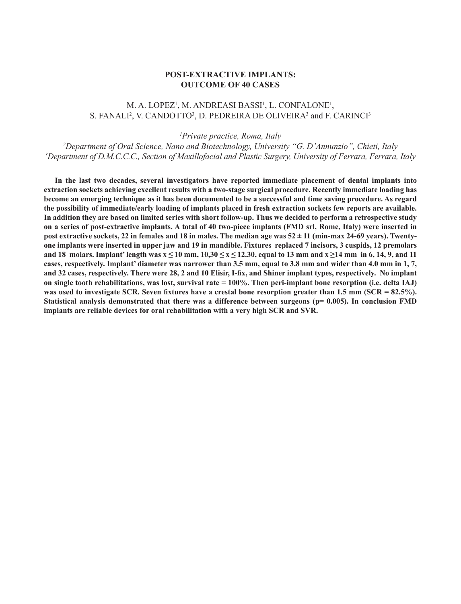#### **POST-EXTRACTIVE IMPLANTS: OUTCOME OF 40 CASES**

# M. A. LOPEZ<sup>1</sup>, M. ANDREASI BASSI<sup>1</sup>, L. CONFALONE<sup>1</sup>, S. FANALI<sup>2</sup>, V. CANDOTTO<sup>3</sup>, D. PEDREIRA DE OLIVEIRA<sup>3</sup> and F. CARINCI<sup>3</sup>

*1 Private practice, Roma, Italy*

*2 Department of Oral Science, Nano and Biotechnology, University "G. D'Annunzio", Chieti, Italy 3 Department of D.M.C.C.C., Section of Maxillofacial and Plastic Surgery, University of Ferrara, Ferrara, Italy*

**In the last two decades, several investigators have reported immediate placement of dental implants into extraction sockets achieving excellent results with a two-stage surgical procedure. Recently immediate loading has become an emerging technique as it has been documented to be a successful and time saving procedure. As regard the possibility of immediate/early loading of implants placed in fresh extraction sockets few reports are available. In addition they are based on limited series with short follow-up. Thus we decided to perform a retrospective study on a series of post-extractive implants. A total of 40 two-piece implants (FMD srl, Rome, Italy) were inserted in post extractive sockets, 22 in females and 18 in males. The median age was 52 ± 11 (min-max 24-69 years). Twentyone implants were inserted in upper jaw and 19 in mandible. Fixtures replaced 7 incisors, 3 cuspids, 12 premolars**  and 18 molars. Implant' length was  $x \le 10$  mm,  $10,30 \le x \le 12.30$ , equal to 13 mm and  $x \ge 14$  mm in 6, 14, 9, and 11 **cases, respectively. Implant' diameter was narrower than 3.5 mm, equal to 3.8 mm and wider than 4.0 mm in 1, 7, and 32 cases, respectively. There were 28, 2 and 10 Elisir, I-fix, and Shiner implant types, respectively. No implant on single tooth rehabilitations, was lost, survival rate = 100%. Then peri-implant bone resorption (i.e. delta IAJ)**  was used to investigate SCR. Seven fixtures have a crestal bone resorption greater than 1.5 mm (SCR = 82.5%). **Statistical analysis demonstrated that there was a difference between surgeons (p= 0.005). In conclusion FMD implants are reliable devices for oral rehabilitation with a very high SCR and SVR.**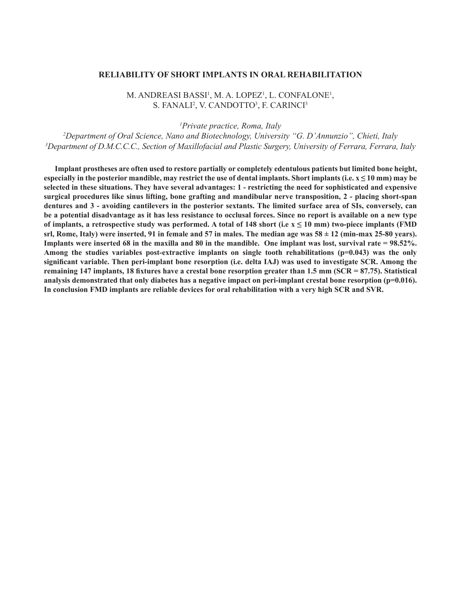#### **RELIABILITY OF SHORT IMPLANTS IN ORAL REHABILITATION**

M. ANDREASI BASSI<sup>1</sup>, M. A. LOPEZ<sup>1</sup>, L. CONFALONE<sup>1</sup>, S. FANALI<sup>2</sup>, V. CANDOTTO<sup>3</sup>, F. CARINCI<sup>3</sup>

*1 Private practice, Roma, Italy*

*2 Department of Oral Science, Nano and Biotechnology, University "G. D'Annunzio", Chieti, Italy 3 Department of D.M.C.C.C., Section of Maxillofacial and Plastic Surgery, University of Ferrara, Ferrara, Italy*

**Implant prostheses are often used to restore partially or completely edentulous patients but limited bone height,**  especially in the posterior mandible, may restrict the use of dental implants. Short implants (i.e.  $x \le 10$  mm) may be **selected in these situations. They have several advantages: 1 - restricting the need for sophisticated and expensive surgical procedures like sinus lifting, bone grafting and mandibular nerve transposition, 2 - placing short-span dentures and 3 - avoiding cantilevers in the posterior sextants. The limited surface area of SIs, conversely, can be a potential disadvantage as it has less resistance to occlusal forces. Since no report is available on a new type**  of implants, a retrospective study was performed. A total of  $148$  short (i.e  $x \le 10$  mm) two-piece implants (FMD srl, Rome, Italy) were inserted, 91 in female and 57 in males. The median age was  $58 \pm 12$  (min-max 25-80 years). **Implants were inserted 68 in the maxilla and 80 in the mandible. One implant was lost, survival rate = 98.52%. Among the studies variables post-extractive implants on single tooth rehabilitations (p=0.043) was the only significant variable. Then peri-implant bone resorption (i.e. delta IAJ) was used to investigate SCR. Among the remaining 147 implants, 18 fixtures have a crestal bone resorption greater than 1.5 mm (SCR = 87.75). Statistical analysis demonstrated that only diabetes has a negative impact on peri-implant crestal bone resorption (p=0.016). In conclusion FMD implants are reliable devices for oral rehabilitation with a very high SCR and SVR.**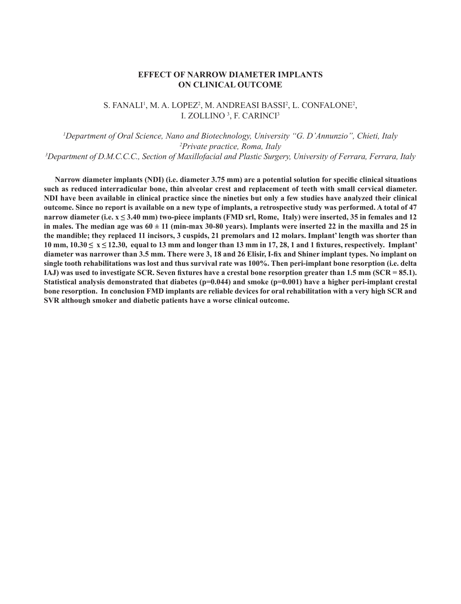# **EFFECT OF NARROW DIAMETER IMPLANTS ON CLINICAL OUTCOME**

# S. FANALI<sup>1</sup>, M. A. LOPEZ<sup>2</sup>, M. ANDREASI BASSI<sup>2</sup>, L. CONFALONE<sup>2</sup>, I. ZOLLINO<sup>3</sup>, F. CARINCI<sup>3</sup>

*1 Department of Oral Science, Nano and Biotechnology, University "G. D'Annunzio", Chieti, Italy 2 Private practice, Roma, Italy 3 Department of D.M.C.C.C., Section of Maxillofacial and Plastic Surgery, University of Ferrara, Ferrara, Italy*

**Narrow diameter implants (NDI) (i.e. diameter 3.75 mm) are a potential solution for specific clinical situations such as reduced interradicular bone, thin alveolar crest and replacement of teeth with small cervical diameter. NDI have been available in clinical practice since the nineties but only a few studies have analyzed their clinical outcome. Since no report is available on a new type of implants, a retrospective study was performed. A total of 47 narrow diameter (i.e. x ≤ 3.40 mm) two-piece implants (FMD srl, Rome, Italy) were inserted, 35 in females and 12**  in males. The median age was  $60 \pm 11$  (min-max 30-80 years). Implants were inserted 22 in the maxilla and 25 in **the mandible; they replaced 11 incisors, 3 cuspids, 21 premolars and 12 molars. Implant' length was shorter than**  10 mm,  $10.30 \le x \le 12.30$ , equal to 13 mm and longer than 13 mm in 17, 28, 1 and 1 fixtures, respectively. Implant' **diameter was narrower than 3.5 mm. There were 3, 18 and 26 Elisir, I-fix and Shiner implant types. No implant on single tooth rehabilitations was lost and thus survival rate was 100%. Then peri-implant bone resorption (i.e. delta IAJ) was used to investigate SCR. Seven fixtures have a crestal bone resorption greater than 1.5 mm (SCR = 85.1). Statistical analysis demonstrated that diabetes (p=0.044) and smoke (p=0.001) have a higher peri-implant crestal bone resorption. In conclusion FMD implants are reliable devices for oral rehabilitation with a very high SCR and SVR although smoker and diabetic patients have a worse clinical outcome.**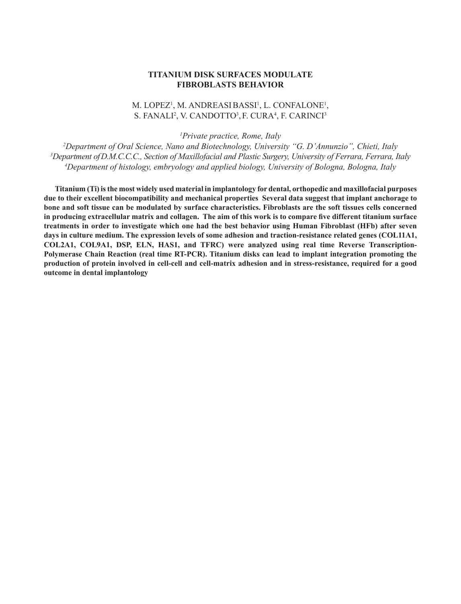#### **TITANIUM DISK SURFACES MODULATE FIBROBLASTS BEHAVIOR**

# M. LOPEZ<sup>1</sup>, M. ANDREASIBASSI<sup>1</sup>, L. CONFALONE<sup>1</sup>, S. FANALI<sup>2</sup>, V. CANDOTTO<sup>3</sup>, F. CURA<sup>4</sup>, F. CARINCI<sup>3</sup>

*1 Private practice, Rome, Italy*

*2 Department of Oral Science, Nano and Biotechnology, University "G. D'Annunzio", Chieti, Italy 3 Department ofD.M.C.C.C., Section of Maxillofacial and Plastic Surgery, University of Ferrara, Ferrara, Italy 4 Department of histology, embryology and applied biology, University of Bologna, Bologna, Italy*

**Titanium (Ti) is the most widely used material in implantology for dental, orthopedic and maxillofacial purposes due to their excellent biocompatibility and mechanical properties Several data suggest that implant anchorage to bone and soft tissue can be modulated by surface characteristics. Fibroblasts are the soft tissues cells concerned in producing extracellular matrix and collagen. The aim of this work is to compare five different titanium surface treatments in order to investigate which one had the best behavior using Human Fibroblast (HFb) after seven days in culture medium. The expression levels of some adhesion and traction-resistance related genes (COL11A1, COL2A1, COL9A1, DSP, ELN, HAS1, and TFRC) were analyzed using real time Reverse Transcription-Polymerase Chain Reaction (real time RT-PCR). Titanium disks can lead to implant integration promoting the production of protein involved in cell-cell and cell-matrix adhesion and in stress-resistance, required for a good outcome in dental implantology**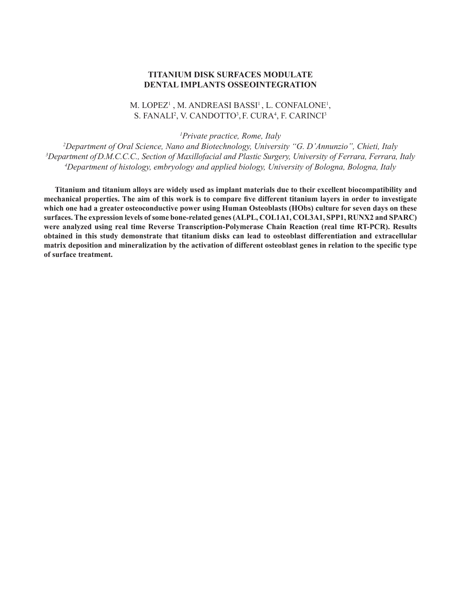#### **TITANIUM DISK SURFACES MODULATE DENTAL IMPLANTS OSSEOINTEGRATION**

# M. LOPEZ<sup>1</sup>, M. ANDREASI BASSI<sup>1</sup>, L. CONFALONE<sup>1</sup>, S. FANALI<sup>2</sup>, V. CANDOTTO<sup>3</sup>, F. CURA<sup>4</sup>, F. CARINCI<sup>3</sup>

*1 Private practice, Rome, Italy*

*2 Department of Oral Science, Nano and Biotechnology, University "G. D'Annunzio", Chieti, Italy 3 Department ofD.M.C.C.C., Section of Maxillofacial and Plastic Surgery, University of Ferrara, Ferrara, Italy 4 Department of histology, embryology and applied biology, University of Bologna, Bologna, Italy*

**Titanium and titanium alloys are widely used as implant materials due to their excellent biocompatibility and mechanical properties. The aim of this work is to compare five different titanium layers in order to investigate which one had a greater osteoconductive power using Human Osteoblasts (HObs) culture for seven days on these surfaces. The expression levels of some bone-related genes (ALPL, COL1A1, COL3A1, SPP1, RUNX2 and SPARC) were analyzed using real time Reverse Transcription-Polymerase Chain Reaction (real time RT-PCR). Results obtained in this study demonstrate that titanium disks can lead to osteoblast differentiation and extracellular matrix deposition and mineralization by the activation of different osteoblast genes in relation to the specific type of surface treatment.**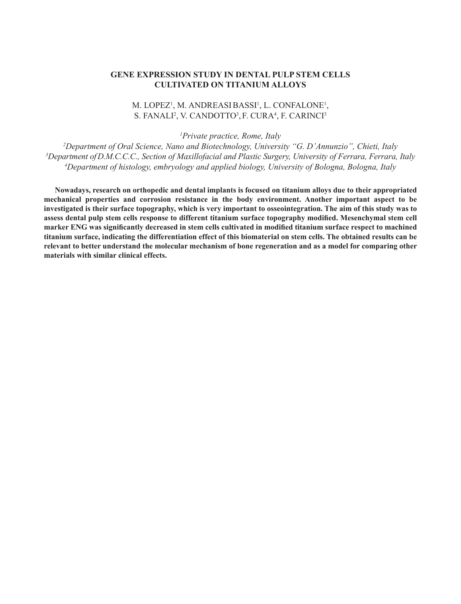# **GENE EXPRESSION STUDY IN DENTAL PULP STEM CELLS CULTIVATED ON TITANIUM ALLOYS**

# M. LOPEZ<sup>1</sup>, M. ANDREASIBASSI<sup>1</sup>, L. CONFALONE<sup>1</sup>, S. FANALI<sup>2</sup>, V. CANDOTTO<sup>3</sup>, F. CURA<sup>4</sup>, F. CARINCI<sup>3</sup>

*1 Private practice, Rome, Italy*

*2 Department of Oral Science, Nano and Biotechnology, University "G. D'Annunzio", Chieti, Italy 3 Department ofD.M.C.C.C., Section of Maxillofacial and Plastic Surgery, University of Ferrara, Ferrara, Italy 4 Department of histology, embryology and applied biology, University of Bologna, Bologna, Italy*

**Nowadays, research on orthopedic and dental implants is focused on titanium alloys due to their appropriated mechanical properties and corrosion resistance in the body environment. Another important aspect to be investigated is their surface topography, which is very important to osseointegration. The aim of this study was to assess dental pulp stem cells response to different titanium surface topography modified. Mesenchymal stem cell marker ENG was significantly decreased in stem cells cultivated in modified titanium surface respect to machined titanium surface, indicating the differentiation effect of this biomaterial on stem cells. The obtained results can be relevant to better understand the molecular mechanism of bone regeneration and as a model for comparing other materials with similar clinical effects.**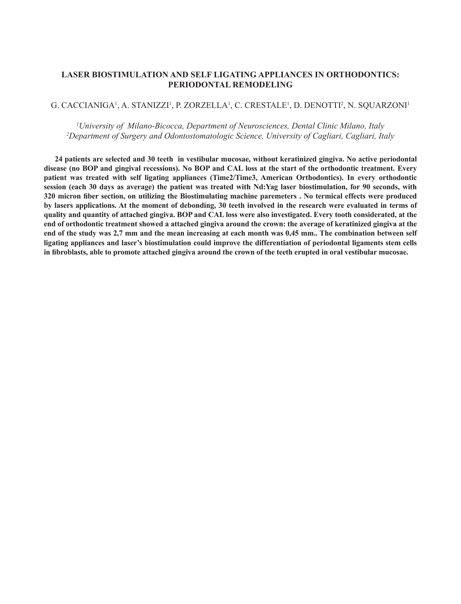# **LASER BIOSTIMULATION AND SELF LIGATING APPLIANCES IN ORTHODONTICS: PERIODONTAL REMODELING**

### G. CACCIANIGA', A. STANIZZI', P. ZORZELLA', C. CRESTALE', D. DENOTTI<del>'</del>, N. SQUARZONI'

*1 University of Milano-Bicocca, Department of Neurosciences, Dental Clinic Milano, Italy 2 Department of Surgery and Odontostomatologic Science, University of Cagliari, Cagliari, Italy*

**24 patients are selected and 30 teeth in vestibular mucosae, without keratinized gingiva. No active periodontal disease (no BOP and gingival recessions). No BOP and CAL loss at the start of the orthodontic treatment. Every patient was treated with self ligating appliances (Time2/Time3, American Orthodontics). In every orthodontic session (each 30 days as average) the patient was treated with Nd:Yag laser biostimulation, for 90 seconds, with 320 micron fiber section, on utilizing the Biostimulating machine paremeters . No termical effects were produced by lasers applications. At the moment of debonding, 30 teeth involved in the research were evaluated in terms of quality and quantity of attached gingiva. BOP and CAL loss were also investigated. Every tooth considerated, at the end of orthodontic treatment showed a attached gingiva around the crown: the average of keratinized gingiva at the end of the study was 2,7 mm and the mean increasing at each month was 0,45 mm.. The combination between self ligating appliances and laser's biostimulation could improve the differentiation of periodontal ligaments stem cells in fibroblasts, able to promote attached gingiva around the crown of the teeth erupted in oral vestibular mucosae.**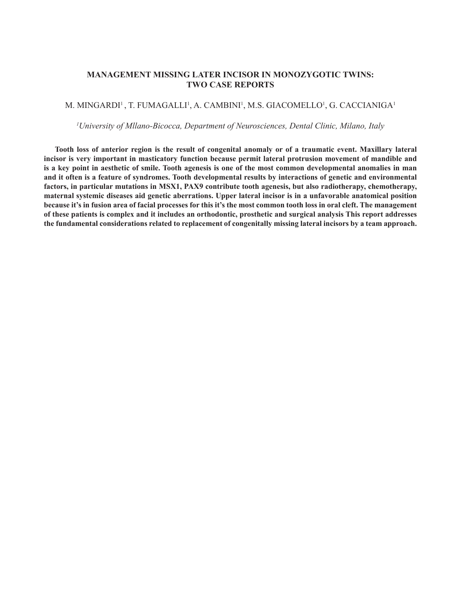# **MANAGEMENT MISSING LATER INCISOR IN MONOZYGOTIC TWINS: TWO CASE REPORTS**

#### M. MINGARDI' , T. FUMAGALLI', A. CAMBINI', M.S. GIACOMELLO', G. CACCIANIGA'

*1 University of Mllano-Bicocca, Department of Neurosciences, Dental Clinic, Milano, Italy*

**Tooth loss of anterior region is the result of congenital anomaly or of a traumatic event. Maxillary lateral incisor is very important in masticatory function because permit lateral protrusion movement of mandible and is a key point in aesthetic of smile. Tooth agenesis is one of the most common developmental anomalies in man and it often is a feature of syndromes. Tooth developmental results by interactions of genetic and environmental factors, in particular mutations in MSX1, PAX9 contribute tooth agenesis, but also radiotherapy, chemotherapy, maternal systemic diseases aid genetic aberrations. Upper lateral incisor is in a unfavorable anatomical position because it's in fusion area of facial processes for this it's the most common tooth loss in oral cleft. The management of these patients is complex and it includes an orthodontic, prosthetic and surgical analysis This report addresses the fundamental considerations related to replacement of congenitally missing lateral incisors by a team approach.**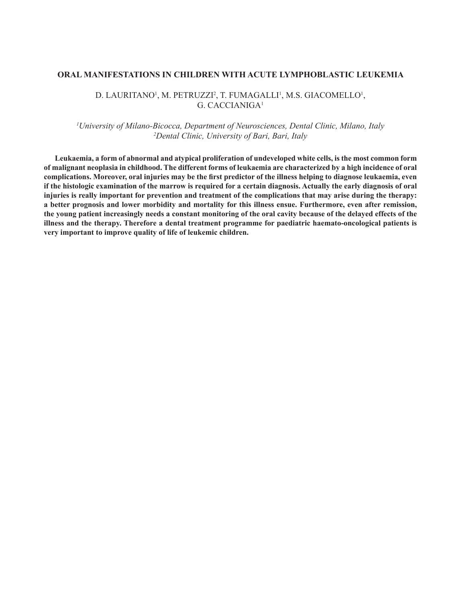#### **ORAL MANIFESTATIONS IN CHILDREN WITH ACUTE LYMPHOBLASTIC LEUKEMIA**

#### D. LAURITANO<sup>1</sup>, M. PETRUZZI<sup>2</sup>, T. FUMAGALLI<sup>1</sup>, M.S. GIACOMELLO<sup>1</sup>, G. CACCIANIGA1

# *1 University of Milano-Bicocca, Department of Neurosciences, Dental Clinic, Milano, Italy 2 Dental Clinic, University of Bari, Bari, Italy*

**Leukaemia, a form of abnormal and atypical proliferation of undeveloped white cells, is the most common form of malignant neoplasia in childhood. The different forms of leukaemia are characterized by a high incidence of oral complications. Moreover, oral injuries may be the first predictor of the illness helping to diagnose leukaemia, even if the histologic examination of the marrow is required for a certain diagnosis. Actually the early diagnosis of oral injuries is really important for prevention and treatment of the complications that may arise during the therapy: a better prognosis and lower morbidity and mortality for this illness ensue. Furthermore, even after remission, the young patient increasingly needs a constant monitoring of the oral cavity because of the delayed effects of the illness and the therapy. Therefore a dental treatment programme for paediatric haemato-oncological patients is very important to improve quality of life of leukemic children.**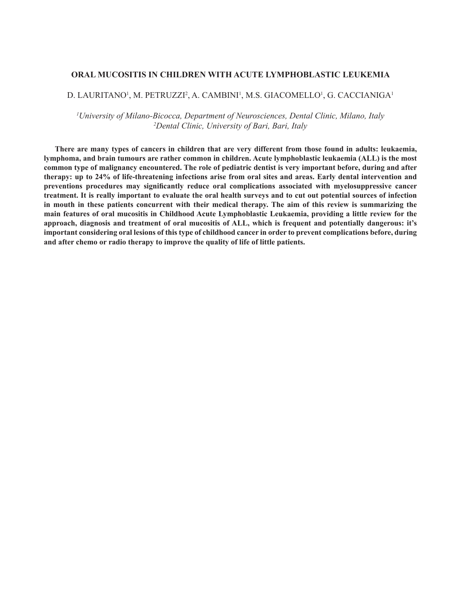#### **ORAL MUCOSITIS IN CHILDREN WITH ACUTE LYMPHOBLASTIC LEUKEMIA**

#### D. LAURITANO', M. PETRUZZI<sup>2</sup>, A. CAMBINI', M.S. GIACOMELLO', G. CACCIANIGA'

*1 University of Milano-Bicocca, Department of Neurosciences, Dental Clinic, Milano, Italy 2 Dental Clinic, University of Bari, Bari, Italy*

**There are many types of cancers in children that are very different from those found in adults: leukaemia, lymphoma, and brain tumours are rather common in children. Acute lymphoblastic leukaemia (ALL) is the most common type of malignancy encountered. The role of pediatric dentist is very important before, during and after therapy: up to 24% of life-threatening infections arise from oral sites and areas. Early dental intervention and preventions procedures may significantly reduce oral complications associated with myelosuppressive cancer treatment. It is really important to evaluate the oral health surveys and to cut out potential sources of infection in mouth in these patients concurrent with their medical therapy. The aim of this review is summarizing the main features of oral mucositis in Childhood Acute Lymphoblastic Leukaemia, providing a little review for the approach, diagnosis and treatment of oral mucositis of ALL, which is frequent and potentially dangerous: it's important considering oral lesions of this type of childhood cancer in order to prevent complications before, during and after chemo or radio therapy to improve the quality of life of little patients.**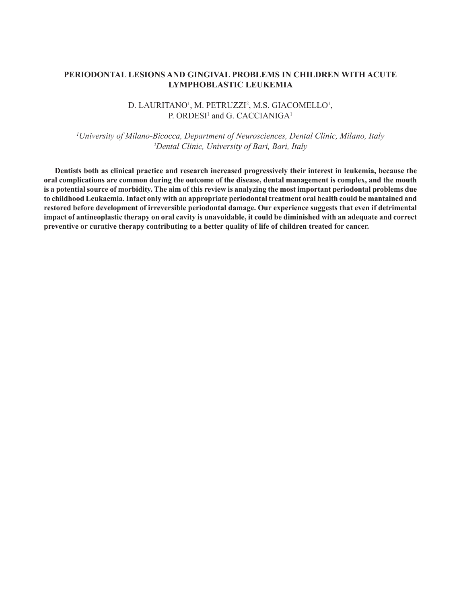# **PERIODONTAL LESIONS AND GINGIVAL PROBLEMS IN CHILDREN WITH ACUTE LYMPHOBLASTIC LEUKEMIA**

# D. LAURITANO!, M. PETRUZZI<del>'</del>, M.S. GIACOMELLO!, P. ORDESI<sup>1</sup> and G. CACCIANIGA<sup>1</sup>

*1 University of Milano-Bicocca, Department of Neurosciences, Dental Clinic, Milano, Italy 2 Dental Clinic, University of Bari, Bari, Italy*

**Dentists both as clinical practice and research increased progressively their interest in leukemia, because the oral complications are common during the outcome of the disease, dental management is complex, and the mouth is a potential source of morbidity. The aim of this review is analyzing the most important periodontal problems due to childhood Leukaemia. Infact only with an appropriate periodontal treatment oral health could be mantained and restored before development of irreversible periodontal damage. Our experience suggests that even if detrimental impact of antineoplastic therapy on oral cavity is unavoidable, it could be diminished with an adequate and correct preventive or curative therapy contributing to a better quality of life of children treated for cancer.**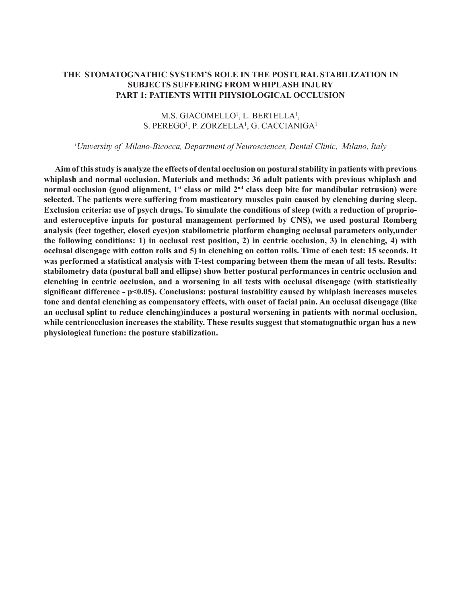# **THE STOMATOGNATHIC SYSTEM'S ROLE IN THE POSTURAL STABILIZATION IN SUBJECTS SUFFERING FROM WHIPLASH INJURY PART 1: PATIENTS WITH PHYSIOLOGICAL OCCLUSION**

# M.S. GIACOMELLO<sup>1</sup>, L. BERTELLA<sup>1</sup>, S. PEREGO<sup>1</sup>, P. ZORZELLA<sup>1</sup>, G. CACCIANIGA<sup>1</sup>

#### *1 University of Milano-Bicocca, Department of Neurosciences, Dental Clinic, Milano, Italy*

**Aim of this study is analyze the effects of dental occlusion on postural stability in patients with previous whiplash and normal occlusion. Materials and methods: 36 adult patients with previous whiplash and normal occlusion (good alignment, 1st class or mild 2nd class deep bite for mandibular retrusion) were selected. The patients were suffering from masticatory muscles pain caused by clenching during sleep. Exclusion criteria: use of psych drugs. To simulate the conditions of sleep (with a reduction of proprioand esteroceptive inputs for postural management performed by CNS), we used postural Romberg analysis (feet together, closed eyes)on stabilometric platform changing occlusal parameters only,under the following conditions: 1) in occlusal rest position, 2) in centric occlusion, 3) in clenching, 4) with occlusal disengage with cotton rolls and 5) in clenching on cotton rolls. Time of each test: 15 seconds. It was performed a statistical analysis with T-test comparing between them the mean of all tests. Results: stabilometry data (postural ball and ellipse) show better postural performances in centric occlusion and clenching in centric occlusion, and a worsening in all tests with occlusal disengage (with statistically significant difference - p<0.05). Conclusions: postural instability caused by whiplash increases muscles tone and dental clenching as compensatory effects, with onset of facial pain. An occlusal disengage (like an occlusal splint to reduce clenching)induces a postural worsening in patients with normal occlusion, while centricocclusion increases the stability. These results suggest that stomatognathic organ has a new physiological function: the posture stabilization.**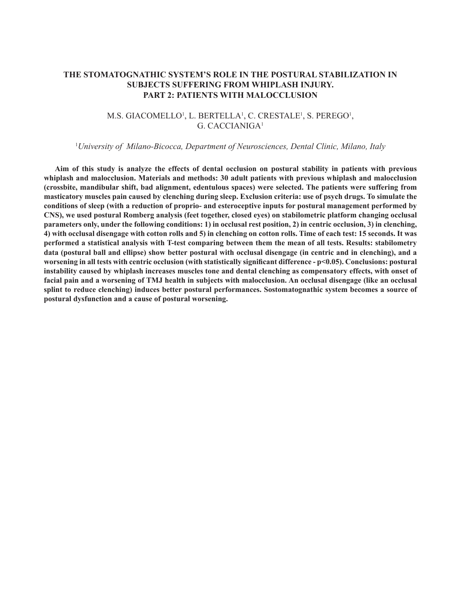# **THE STOMATOGNATHIC SYSTEM'S ROLE IN THE POSTURAL STABILIZATION IN SUBJECTS SUFFERING FROM WHIPLASH INJURY. PART 2: PATIENTS WITH MALOCCLUSION**

#### M.S. GIACOMELLO<sup>i</sup>, L. BERTELLA<sup>i</sup>, C. CRESTALE<sup>i</sup>, S. PEREGO<sup>i</sup>, G. CACCIANIGA1

#### 1 *University of Milano-Bicocca, Department of Neurosciences, Dental Clinic, Milano, Italy*

**Aim of this study is analyze the effects of dental occlusion on postural stability in patients with previous whiplash and malocclusion. Materials and methods: 30 adult patients with previous whiplash and malocclusion (crossbite, mandibular shift, bad alignment, edentulous spaces) were selected. The patients were suffering from masticatory muscles pain caused by clenching during sleep. Exclusion criteria: use of psych drugs. To simulate the conditions of sleep (with a reduction of proprio- and esteroceptive inputs for postural management performed by CNS), we used postural Romberg analysis (feet together, closed eyes) on stabilometric platform changing occlusal parameters only, under the following conditions: 1) in occlusal rest position, 2) in centric occlusion, 3) in clenching, 4) with occlusal disengage with cotton rolls and 5) in clenching on cotton rolls. Time of each test: 15 seconds. It was performed a statistical analysis with T-test comparing between them the mean of all tests. Results: stabilometry data (postural ball and ellipse) show better postural with occlusal disengage (in centric and in clenching), and a worsening in all tests with centric occlusion (with statistically significant difference - p<0.05). Conclusions: postural instability caused by whiplash increases muscles tone and dental clenching as compensatory effects, with onset of facial pain and a worsening of TMJ health in subjects with malocclusion. An occlusal disengage (like an occlusal splint to reduce clenching) induces better postural performances. Sostomatognathic system becomes a source of postural dysfunction and a cause of postural worsening.**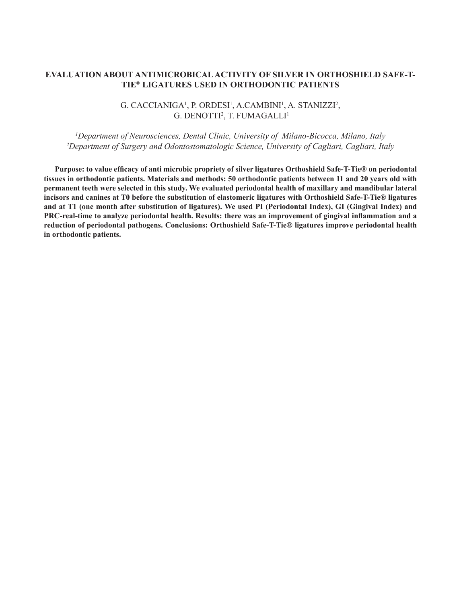# **EVALUATION ABOUT ANTIMICROBICAL ACTIVITY OF SILVER IN ORTHOSHIELD SAFE-T-TIE® LIGATURES USED IN ORTHODONTIC PATIENTS**

# G. CACCIANIGA', P. ORDESI', A.CAMBINI', A. STANIZZI<del>'</del>, G. DENOTTI<sup>2</sup>, T. FUMAGALLI<sup>1</sup>

*1 Department of Neurosciences, Dental Clinic, University of Milano-Bicocca, Milano, Italy 2 Department of Surgery and Odontostomatologic Science, University of Cagliari, Cagliari, Italy*

**Purpose: to value efficacy of anti microbic propriety of silver ligatures Orthoshield Safe-T-Tie® on periodontal tissues in orthodontic patients. Materials and methods: 50 orthodontic patients between 11 and 20 years old with permanent teeth were selected in this study. We evaluated periodontal health of maxillary and mandibular lateral incisors and canines at T0 before the substitution of elastomeric ligatures with Orthoshield Safe-T-Tie® ligatures and at T1 (one month after substitution of ligatures). We used PI (Periodontal Index), GI (Gingival Index) and PRC-real-time to analyze periodontal health. Results: there was an improvement of gingival inflammation and a reduction of periodontal pathogens. Conclusions: Orthoshield Safe-T-Tie® ligatures improve periodontal health in orthodontic patients.**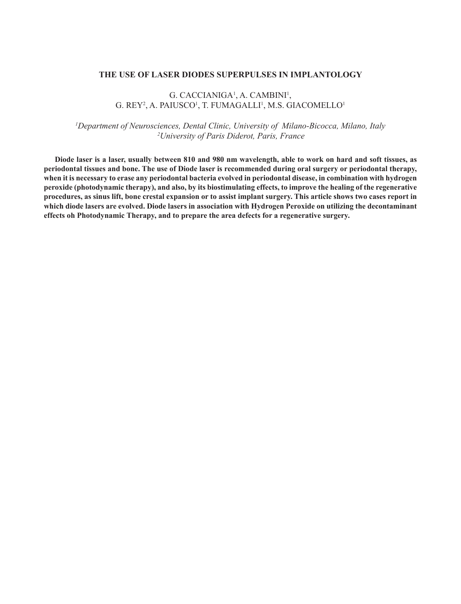#### **THE USE OF LASER DIODES SUPERPULSES IN IMPLANTOLOGY**

# G. CACCIANIGA<sup>1</sup>, A. CAMBINI<sup>1</sup>, G. REY², A. PAIUSCO', T. FUMAGALLI', M.S. GIACOMELLO'

*1 Department of Neurosciences, Dental Clinic, University of Milano-Bicocca, Milano, Italy 2University of Paris Diderot, Paris, France*

**Diode laser is a laser, usually between 810 and 980 nm wavelength, able to work on hard and soft tissues, as periodontal tissues and bone. The use of Diode laser is recommended during oral surgery or periodontal therapy, when it is necessary to erase any periodontal bacteria evolved in periodontal disease, in combination with hydrogen peroxide (photodynamic therapy), and also, by its biostimulating effects, to improve the healing of the regenerative procedures, as sinus lift, bone crestal expansion or to assist implant surgery. This article shows two cases report in which diode lasers are evolved. Diode lasers in association with Hydrogen Peroxide on utilizing the decontaminant effects oh Photodynamic Therapy, and to prepare the area defects for a regenerative surgery.**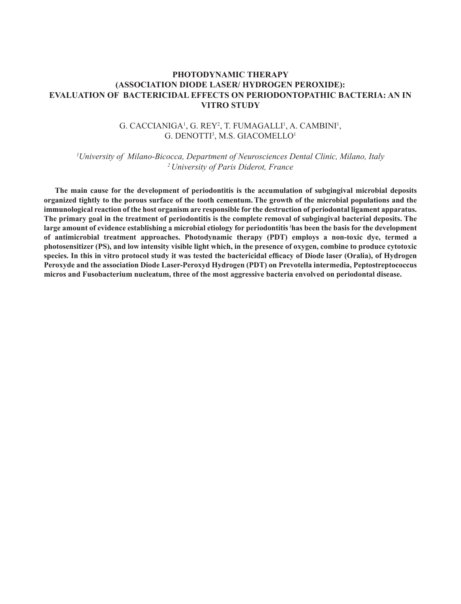# **PHOTODYNAMIC THERAPY (ASSOCIATION DIODE LASER/ HYDROGEN PEROXIDE): EVALUATION OF BACTERICIDAL EFFECTS ON PERIODONTOPATHIC BACTERIA: AN IN VITRO STUDY**

# G. CACCIANIGA', G. REY<sup>2</sup>, T. FUMAGALLI', A. CAMBINI', G. DENOTTI<sup>3</sup>, M.S. GIACOMELLO<sup>1</sup>

*1 University of Milano-Bicocca, Department of Neurosciences Dental Clinic, Milano, Italy 2 University of Paris Diderot, France*

**The main cause for the development of periodontitis is the accumulation of subgingival microbial deposits organized tightly to the porous surface of the tooth cementum.The growth of the microbial populations and the immunological reaction of the host organism are responsible for the destruction of periodontal ligament apparatus. The primary goal in the treatment of periodontitis is the complete removal of subgingival bacterial deposits. The large amount of evidence establishing a microbial etiology for periodontitis ( has been the basis for the development of antimicrobial treatment approaches. Photodynamic therapy (PDT) employs a non-toxic dye, termed a photosensitizer (PS), and low intensity visible light which, in the presence of oxygen, combine to produce cytotoxic species. In this in vitro protocol study it was tested the bactericidal efficacy of Diode laser (Oralia), of Hydrogen Peroxyde and the association Diode Laser-Peroxyd Hydrogen (PDT) on Prevotella intermedia, Peptostreptococcus micros and Fusobacterium nucleatum, three of the most aggressive bacteria envolved on periodontal disease.**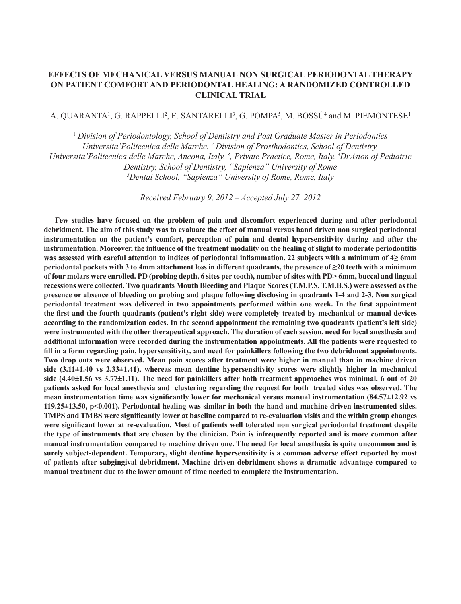# **EFFECTS OF MECHANICAL VERSUS MANUAL NON SURGICAL PERIODONTAL THERAPY ON PATIENT COMFORT AND PERIODONTAL HEALING: A RANDOMIZED CONTROLLED CLINICAL TRIAL**

#### A. QUARANTA<sup>1</sup>, G. RAPPELLI<sup>2</sup>, E. SANTARELLI<sup>3</sup>, G. POMPA<sup>5</sup>, M. BOSSU<sup>4</sup> and M. PIEMONTESE<sup>1</sup>

<sup>1</sup> *Division of Periodontology, School of Dentistry and Post Graduate Master in Periodontics Universita'Politecnica delle Marche. 2 Division of Prosthodontics, School of Dentistry,*  Universita 'Politecnica delle Marche, Ancona, Italy.<sup>3</sup>, Private Practice, Rome, Italy. <sup>4</sup>Division of Pediatric *Dentistry, School of Dentistry, "Sapienza" University of Rome 5 Dental School, "Sapienza" University of Rome, Rome, Italy*

*Received February 9, 2012 – Accepted July 27, 2012*

**Few studies have focused on the problem of pain and discomfort experienced during and after periodontal debridment. The aim of this study was to evaluate the effect of manual versus hand driven non surgical periodontal instrumentation on the patient's comfort, perception of pain and dental hypersensitivity during and after the instrumentation. Moreover, the influence of the treatment modality on the healing of slight to moderate periodontitis was assessed with careful attention to indices of periodontal inflammation. 22 subjects with a minimum of 4≥ 6mm periodontal pockets with 3 to 4mm attachment loss in different quadrants, the presence of ≥20 teeth with a minimum of four molars were enrolled. PD (probing depth, 6 sites per tooth), number of sites with PD> 6mm, buccal and lingual recessions were collected. Two quadrants Mouth Bleeding and Plaque Scores (T.M.P.S, T.M.B.S.) were assessed as the presence or absence of bleeding on probing and plaque following disclosing in quadrants 1-4 and 2-3. Non surgical periodontal treatment was delivered in two appointments performed within one week. In the first appointment the first and the fourth quadrants (patient's right side) were completely treated by mechanical or manual devices according to the randomization codes. In the second appointment the remaining two quadrants (patient's left side) were instrumented with the other therapeutical approach. The duration of each session, need for local anesthesia and additional information were recorded during the instrumentation appointments. All the patients were requested to fill in a form regarding pain, hypersensitivity, and need for painkillers following the two debridment appointments. Two drop outs were observed. Mean pain scores after treatment were higher in manual than in machine driven side (3.11±1.40 vs 2.33±1.41), whereas mean dentine hypersensitivity scores were slightly higher in mechanical side (4.40±1.56 vs 3.77±1.11). The need for painkillers after both treatment approaches was minimal. 6 out of 20 patients asked for local anesthesia and clustering regarding the request for both treated sides was observed. The mean instrumentation time was significantly lower for mechanical versus manual instrumentation (84.57±12.92 vs 119.25±13.50, p<0.001). Periodontal healing was similar in both the hand and machine driven instrumented sides. TMPS and TMBS were significantly lower at baseline compared to re-evaluation visits and the within group changes were significant lower at re-evaluation. Most of patients well tolerated non surgical periodontal treatment despite the type of instruments that are chosen by the clinician. Pain is infrequently reported and is more common after manual instrumentation compared to machine driven one. The need for local anesthesia is quite uncommon and is surely subject-dependent. Temporary, slight dentine hypersensitivity is a common adverse effect reported by most of patients after subgingival debridment. Machine driven debridment shows a dramatic advantage compared to manual treatment due to the lower amount of time needed to complete the instrumentation.**